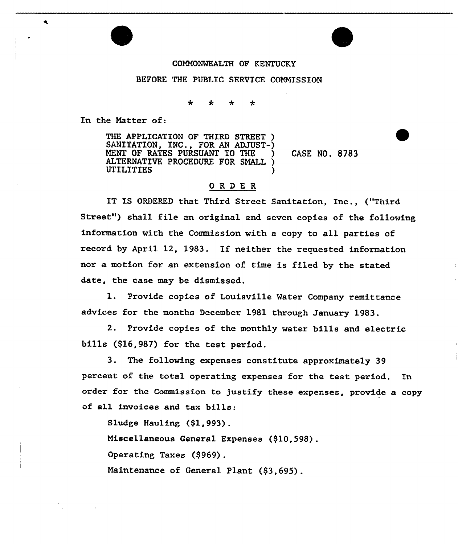## COMMONWEALTH OF KENTUCKY

## BEFORE THE PUBLIC SERVICE COMMISSION

♣ ∗

In the Natter of:

 $\blacktriangleleft$ 

THE APPLICATION OF THIRD STREET ) SANITATION, INC., FOR AN ADJUST-) NENT OF RATES PURSUANT TO THE ) CASE NO. 8783 ALTERNATIVE PROCEDURE FOR SNALL ) **UTILITIES** 

## O R D E R

IT XS ORDERED that Third Street Sanitation, Inc., ("Third Street") shall file an original and seven copies of the following information with the Commission with a copy to all parties of record by April 12, 1983. If neither the requested information nor a motion for an extension of time is filed by the stated date, the case may be dismissed,

1. Provide copies of Louisville Water Company remittance advices for the months December 1981 through January 1983.

2. Provide copies of the monthly water bills and electric bills (\$16,987) for the test period.

3. The following expenses constitute approximately 39 percent of the total operating expenses for the test period. In order for the Commission to justify these expenses, provide a copy of all invoices and tax bills:

Sludge Hauling (\$1,993).

Miscellaneous General Expenses (\$10,598),

Operating Taxes (\$969).

Maintenance of General Plant (\$3,695) .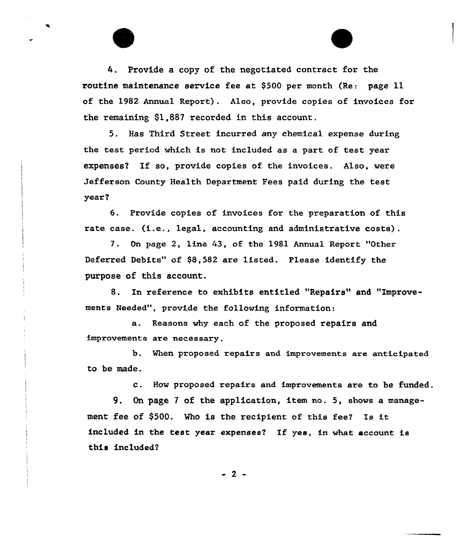4. Provide a copy of the negotiated contract for the routine maintenance service fee at \$<sup>500</sup> per month (Re: page ll of the 1982 Annual Report). Also, provide copies of invoices for the remaining \$1,887 recorded in this account.

5. Has Third Street incurred any chemical expense during the test period which is not included as a part of test year expenses? If so, provide copies of the invoices. Also, were Jefferson Gounty Health Department Fees paid during the test year?

6. Provide copies of invoices for the preparation of this rate case. (i.e., legal, accounting and administrative costs).

7. On page 2, line 43, of the 1981 Annual Report "Other Deferred Debits" of \$8,582 are listed. Please identify the purpose of this account.

8. In reference to exhibits entitled "Repairs" and "Improvements Needed", provide the following information:

a. Reasons why each of the proposed repairs and improvements are necessary.

b. When proposed repairs and improvements are anticipated to be made.

c. How proposed repairs and improvements are to be funded.

9. On page <sup>7</sup> of the application, item no. 5, shows a management fee of \$500. Who is the recipient of this fee? Is it included in the test year expenses? If yes, in what account is this included?

 $-2 -$